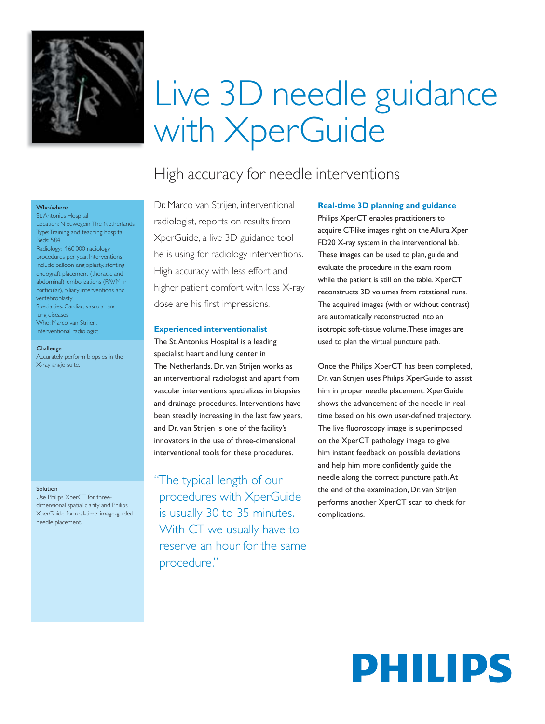

# Live 3D needle guidance with XperGuide

# High accuracy for needle interventions

## Dr. Marco van Strijen, interventional radiologist, reports on results from XperGuide, a live 3D guidance tool he is using for radiology interventions. High accuracy with less effort and higher patient comfort with less X-ray dose are his first impressions.

#### **Experienced interventionalist**

The St. Antonius Hospital is a leading specialist heart and lung center in The Netherlands. Dr. van Strijen works as an interventional radiologist and apart from vascular interventions specializes in biopsies and drainage procedures. Interventions have been steadily increasing in the last few years, and Dr. van Strijen is one of the facility's innovators in the use of three-dimensional interventional tools for these procedures.

"The typical length of our procedures with XperGuide is usually 30 to 35 minutes. With CT, we usually have to reserve an hour for the same procedure."

### **Real-time 3D planning and guidance**

Philips XperCT enables practitioners to acquire CT-like images right on the Allura Xper FD20 X-ray system in the interventional lab. These images can be used to plan, guide and evaluate the procedure in the exam room while the patient is still on the table. XperCT reconstructs 3D volumes from rotational runs. The acquired images (with or without contrast) are automatically reconstructed into an isotropic soft-tissue volume. These images are used to plan the virtual puncture path.

Once the Philips XperCT has been completed, Dr. van Strijen uses Philips XperGuide to assist him in proper needle placement. XperGuide shows the advancement of the needle in realtime based on his own user-defined trajectory. The live fluoroscopy image is superimposed on the XperCT pathology image to give him instant feedback on possible deviations and help him more confidently guide the needle along the correct puncture path. At the end of the examination, Dr. van Strijen performs another XperCT scan to check for complications.

# PHILIPS

#### Who/where

St. Antonius Hospital Location: Nieuwegein, The Netherlands Type: Training and teaching hospital Beds: 584 Radiology: 160,000 radiology procedures per year. Interventions include balloon angioplasty, stenting, endograft placement (thoracic and abdominal), embolizations (PAVM in particular), biliary interventions and vertebroplasty Specialties: Cardiac, vascular and lung diseases Who: Marco van Strijen,

**Challenge** 

Accurately perform biopsies in the X-ray angio suite.

interventional radiologist

#### Solution

Use Philips XperCT for threedimensional spatial clarity and Philips XperGuide for real-time, image-guided needle placement.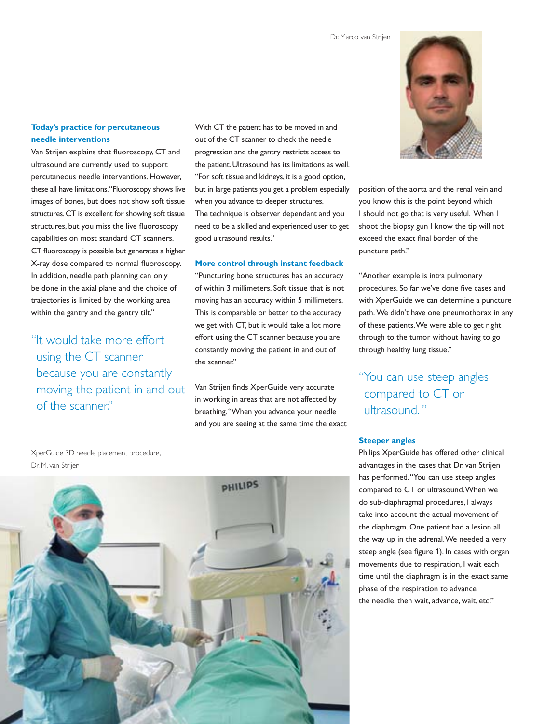### **Today's practice for percutaneous needle interventions**

Van Strijen explains that fluoroscopy, CT and ultrasound are currently used to support percutaneous needle interventions. However, these all have limitations. "Fluoroscopy shows live images of bones, but does not show soft tissue structures. CT is excellent for showing soft tissue structures, but you miss the live fluoroscopy capabilities on most standard CT scanners. CT fluoroscopy is possible but generates a higher X-ray dose compared to normal fluoroscopy. In addition, needle path planning can only be done in the axial plane and the choice of trajectories is limited by the working area within the gantry and the gantry tilt."

"It would take more effort using the CT scanner because you are constantly moving the patient in and out of the scanner."

With CT the patient has to be moved in and out of the CT scanner to check the needle progression and the gantry restricts access to the patient. Ultrasound has its limitations as well. "For soft tissue and kidneys, it is a good option, but in large patients you get a problem especially when you advance to deeper structures. The technique is observer dependant and you need to be a skilled and experienced user to get good ultrasound results."

#### **More control through instant feedback**

"Puncturing bone structures has an accuracy of within 3 millimeters. Soft tissue that is not moving has an accuracy within 5 millimeters. This is comparable or better to the accuracy we get with CT, but it would take a lot more effort using the CT scanner because you are constantly moving the patient in and out of the scanner."

Van Strijen finds XperGuide very accurate in working in areas that are not affected by breathing. "When you advance your needle and you are seeing at the same time the exact



position of the aorta and the renal vein and you know this is the point beyond which I should not go that is very useful. When I shoot the biopsy gun I know the tip will not exceed the exact final border of the puncture path."

"Another example is intra pulmonary procedures. So far we've done five cases and with XperGuide we can determine a puncture path. We didn't have one pneumothorax in any of these patients. We were able to get right through to the tumor without having to go through healthy lung tissue."

## "You can use steep angles compared to CT or ultrasound. "

#### **Steeper angles**

Philips XperGuide has offered other clinical advantages in the cases that Dr. van Strijen has performed. "You can use steep angles compared to CT or ultrasound. When we do sub-diaphragmal procedures, I always take into account the actual movement of the diaphragm. One patient had a lesion all the way up in the adrenal. We needed a very steep angle (see figure 1). In cases with organ movements due to respiration, I wait each time until the diaphragm is in the exact same phase of the respiration to advance the needle, then wait, advance, wait, etc."

XperGuide 3D needle placement procedure, Dr. M. van Strijen

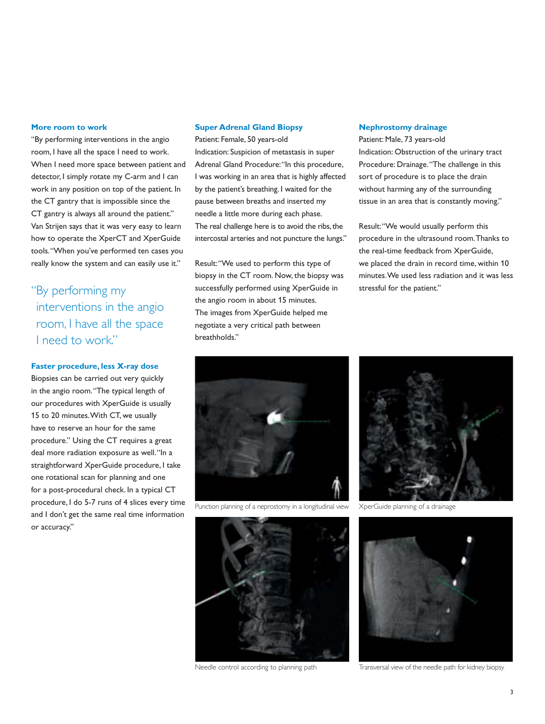#### **More room to work**

"By performing interventions in the angio room, I have all the space I need to work. When I need more space between patient and detector, I simply rotate my C-arm and I can work in any position on top of the patient. In the CT gantry that is impossible since the CT gantry is always all around the patient." Van Strijen says that it was very easy to learn how to operate the XperCT and XperGuide tools. "When you've performed ten cases you really know the system and can easily use it."

"By performing my interventions in the angio room, I have all the space I need to work."

#### **Faster procedure, less X-ray dose**

Biopsies can be carried out very quickly in the angio room. "The typical length of our procedures with XperGuide is usually 15 to 20 minutes. With CT, we usually have to reserve an hour for the same procedure." Using the CT requires a great deal more radiation exposure as well. "In a straightforward XperGuide procedure, I take one rotational scan for planning and one for a post-procedural check. In a typical CT procedure, I do 5-7 runs of 4 slices every time and I don't get the same real time information or accuracy."

#### **Super Adrenal Gland Biopsy**

Patient: Female, 50 years-old Indication: Suspicion of metastasis in super Adrenal Gland Procedure: "In this procedure, I was working in an area that is highly affected by the patient's breathing. I waited for the pause between breaths and inserted my needle a little more during each phase. The real challenge here is to avoid the ribs, the intercostal arteries and not puncture the lungs."

Result: "We used to perform this type of biopsy in the CT room. Now, the biopsy was successfully performed using XperGuide in the angio room in about 15 minutes. The images from XperGuide helped me negotiate a very critical path between breathholds."

#### **Nephrostomy drainage**

Patient: Male, 73 years-old Indication: Obstruction of the urinary tract Procedure: Drainage. "The challenge in this sort of procedure is to place the drain without harming any of the surrounding tissue in an area that is constantly moving."

Result: "We would usually perform this procedure in the ultrasound room. Thanks to the real-time feedback from XperGuide, we placed the drain in record time, within 10 minutes. We used less radiation and it was less stressful for the patient."



Punction planning of a neprostomy in a longitudinal view



XperGuide planning of a drainage



Needle control according to planning path



Transversal view of the needle path for kidney biopsy